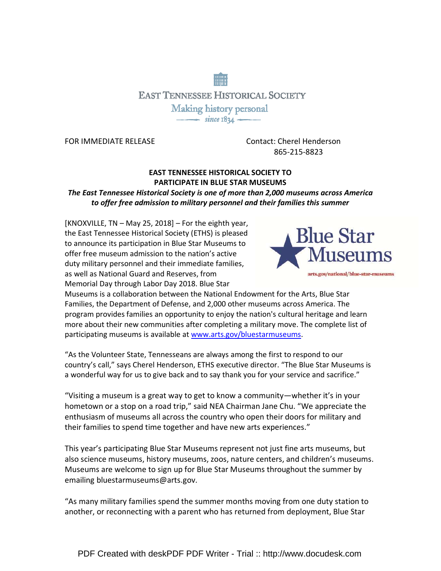# **EAST TENNESSEE HISTORICAL SOCIETY** Making history personal  $\frac{1}{\sqrt{1-\frac{1}{2}}}\sin$   $\cos 10\sqrt{1-\frac{1}{2}}$

FOR IMMEDIATE RELEASE Contact: Cherel Henderson 865-215-8823

### EAST TENNESSEE HISTORICAL SOCIETY TO PARTICIPATE IN BLUE STAR MUSEUMS

The East Tennessee Historical Society is one of more than 2,000 museums across America to offer free admission to military personnel and their families this summer

[KNOXVILLE, TN – May 25, 2018] – For the eighth year, the East Tennessee Historical Society (ETHS) is pleased to announce its participation in Blue Star Museums to offer free museum admission to the nation's active duty military personnel and their immediate families, as well as National Guard and Reserves, from Memorial Day through Labor Day 2018. Blue Star



Museums is a collaboration between the National Endowment for the Arts, Blue Star Families, the Department of Defense, and 2,000 other museums across America. The program provides families an opportunity to enjoy the nation's cultural heritage and learn more about their new communities after completing a military move. The complete list of participating museums is available at www.arts.gov/bluestarmuseums.

"As the Volunteer State, Tennesseans are always among the first to respond to our country's call," says Cherel Henderson, ETHS executive director. "The Blue Star Museums is a wonderful way for us to give back and to say thank you for your service and sacrifice."

"Visiting a museum is a great way to get to know a community—whether it's in your hometown or a stop on a road trip," said NEA Chairman Jane Chu. "We appreciate the enthusiasm of museums all across the country who open their doors for military and their families to spend time together and have new arts experiences."

This year's participating Blue Star Museums represent not just fine arts museums, but also science museums, history museums, zoos, nature centers, and children's museums. Museums are welcome to sign up for Blue Star Museums throughout the summer by emailing bluestarmuseums@arts.gov.

"As many military families spend the summer months moving from one duty station to another, or reconnecting with a parent who has returned from deployment, Blue Star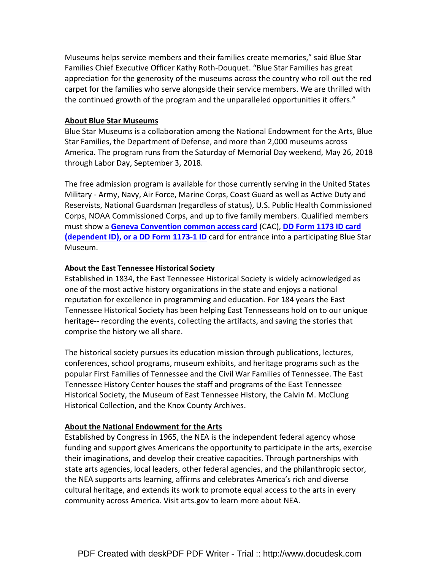Museums helps service members and their families create memories," said Blue Star Families Chief Executive Officer Kathy Roth-Douquet. "Blue Star Families has great appreciation for the generosity of the museums across the country who roll out the red carpet for the families who serve alongside their service members. We are thrilled with the continued growth of the program and the unparalleled opportunities it offers."

#### About Blue Star Museums

Blue Star Museums is a collaboration among the National Endowment for the Arts, Blue Star Families, the Department of Defense, and more than 2,000 museums across America. The program runs from the Saturday of Memorial Day weekend, May 26, 2018 through Labor Day, September 3, 2018.

The free admission program is available for those currently serving in the United States Military - Army, Navy, Air Force, Marine Corps, Coast Guard as well as Active Duty and Reservists, National Guardsman (regardless of status), U.S. Public Health Commissioned Corps, NOAA Commissioned Corps, and up to five family members. Qualified members must show a Geneva Convention common access card (CAC), DD Form 1173 ID card (dependent ID), or a DD Form 1173-1 ID card for entrance into a participating Blue Star Museum.

#### About the East Tennessee Historical Society

Established in 1834, the East Tennessee Historical Society is widely acknowledged as one of the most active history organizations in the state and enjoys a national reputation for excellence in programming and education. For 184 years the East Tennessee Historical Society has been helping East Tennesseans hold on to our unique heritage-- recording the events, collecting the artifacts, and saving the stories that comprise the history we all share.

The historical society pursues its education mission through publications, lectures, conferences, school programs, museum exhibits, and heritage programs such as the popular First Families of Tennessee and the Civil War Families of Tennessee. The East Tennessee History Center houses the staff and programs of the East Tennessee Historical Society, the Museum of East Tennessee History, the Calvin M. McClung Historical Collection, and the Knox County Archives.

#### About the National Endowment for the Arts

Established by Congress in 1965, the NEA is the independent federal agency whose funding and support gives Americans the opportunity to participate in the arts, exercise their imaginations, and develop their creative capacities. Through partnerships with state arts agencies, local leaders, other federal agencies, and the philanthropic sector, the NEA supports arts learning, affirms and celebrates America's rich and diverse cultural heritage, and extends its work to promote equal access to the arts in every community across America. Visit arts.gov to learn more about NEA.